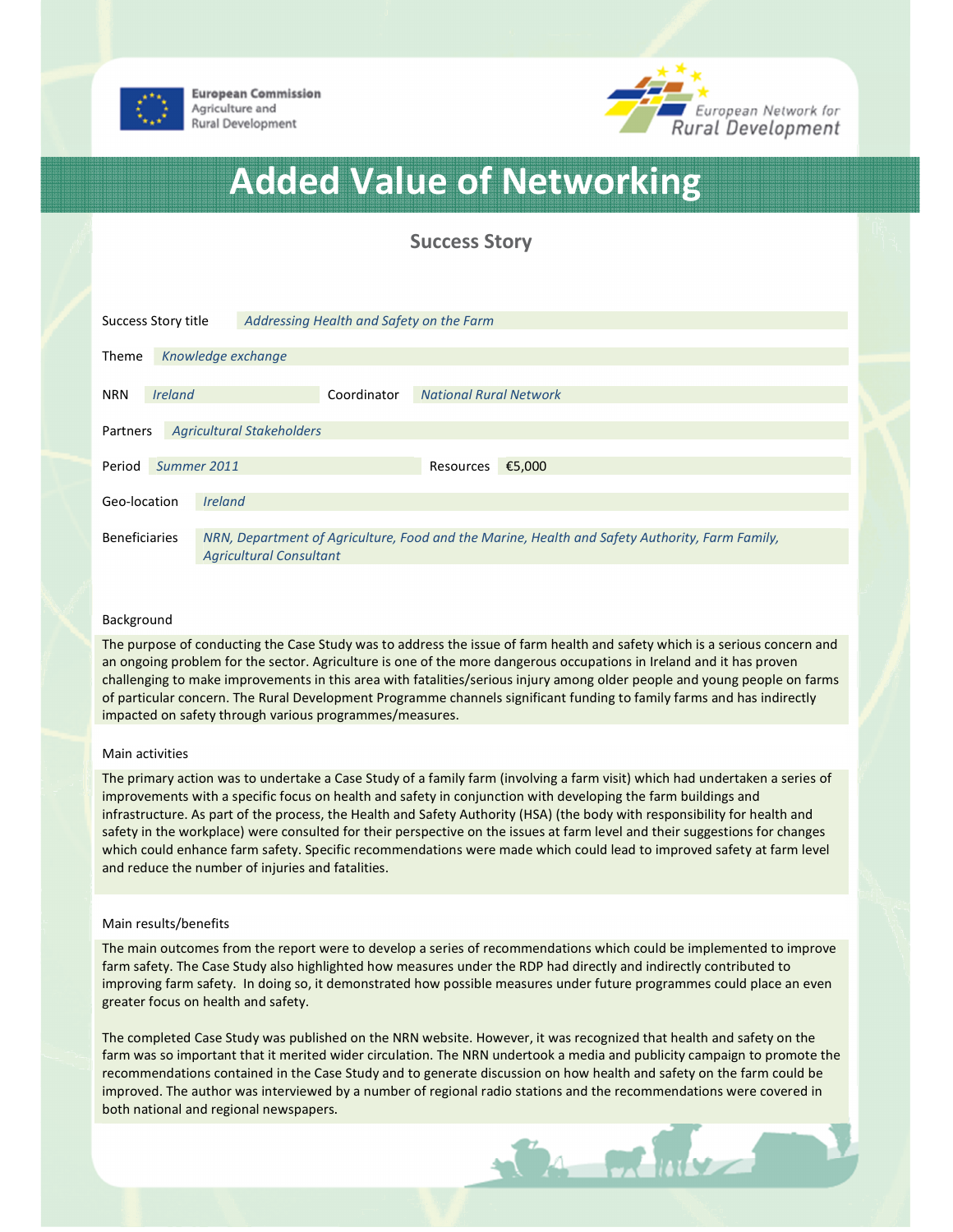

**European Commission** Agriculture and Rural Development



# Added Value of Networking

## Success Story

| Success Story title                          |                |                                                                                                                                  | Addressing Health and Safety on the Farm |                               |        |  |
|----------------------------------------------|----------------|----------------------------------------------------------------------------------------------------------------------------------|------------------------------------------|-------------------------------|--------|--|
| Theme                                        |                | Knowledge exchange                                                                                                               |                                          |                               |        |  |
| <b>NRN</b>                                   | <b>Ireland</b> |                                                                                                                                  | Coordinator                              | <b>National Rural Network</b> |        |  |
| <b>Agricultural Stakeholders</b><br>Partners |                |                                                                                                                                  |                                          |                               |        |  |
| Period                                       | Summer 2011    |                                                                                                                                  |                                          | Resources                     | €5,000 |  |
| Geo-location                                 |                | <b>Ireland</b>                                                                                                                   |                                          |                               |        |  |
| <b>Beneficiaries</b>                         |                | NRN, Department of Agriculture, Food and the Marine, Health and Safety Authority, Farm Family,<br><b>Agricultural Consultant</b> |                                          |                               |        |  |

#### Background

The purpose of conducting the Case Study was to address the issue of farm health and safety which is a serious concern and an ongoing problem for the sector. Agriculture is one of the more dangerous occupations in Ireland and it has proven challenging to make improvements in this area with fatalities/serious injury among older people and young people on farms of particular concern. The Rural Development Programme channels significant funding to family farms and has indirectly impacted on safety through various programmes/measures.

#### Main activities

The primary action was to undertake a Case Study of a family farm (involving a farm visit) which had undertaken a series of improvements with a specific focus on health and safety in conjunction with developing the farm buildings and infrastructure. As part of the process, the Health and Safety Authority (HSA) (the body with responsibility for health and safety in the workplace) were consulted for their perspective on the issues at farm level and their suggestions for changes which could enhance farm safety. Specific recommendations were made which could lead to improved safety at farm level and reduce the number of injuries and fatalities.

#### Main results/benefits

The main outcomes from the report were to develop a series of recommendations which could be implemented to improve farm safety. The Case Study also highlighted how measures under the RDP had directly and indirectly contributed to improving farm safety. In doing so, it demonstrated how possible measures under future programmes could place an even greater focus on health and safety.

The completed Case Study was published on the NRN website. However, it was recognized that health and safety on the farm was so important that it merited wider circulation. The NRN undertook a media and publicity campaign to promote the recommendations contained in the Case Study and to generate discussion on how health and safety on the farm could be improved. The author was interviewed by a number of regional radio stations and the recommendations were covered in both national and regional newspapers.

 $\sim$  or  $\omega$